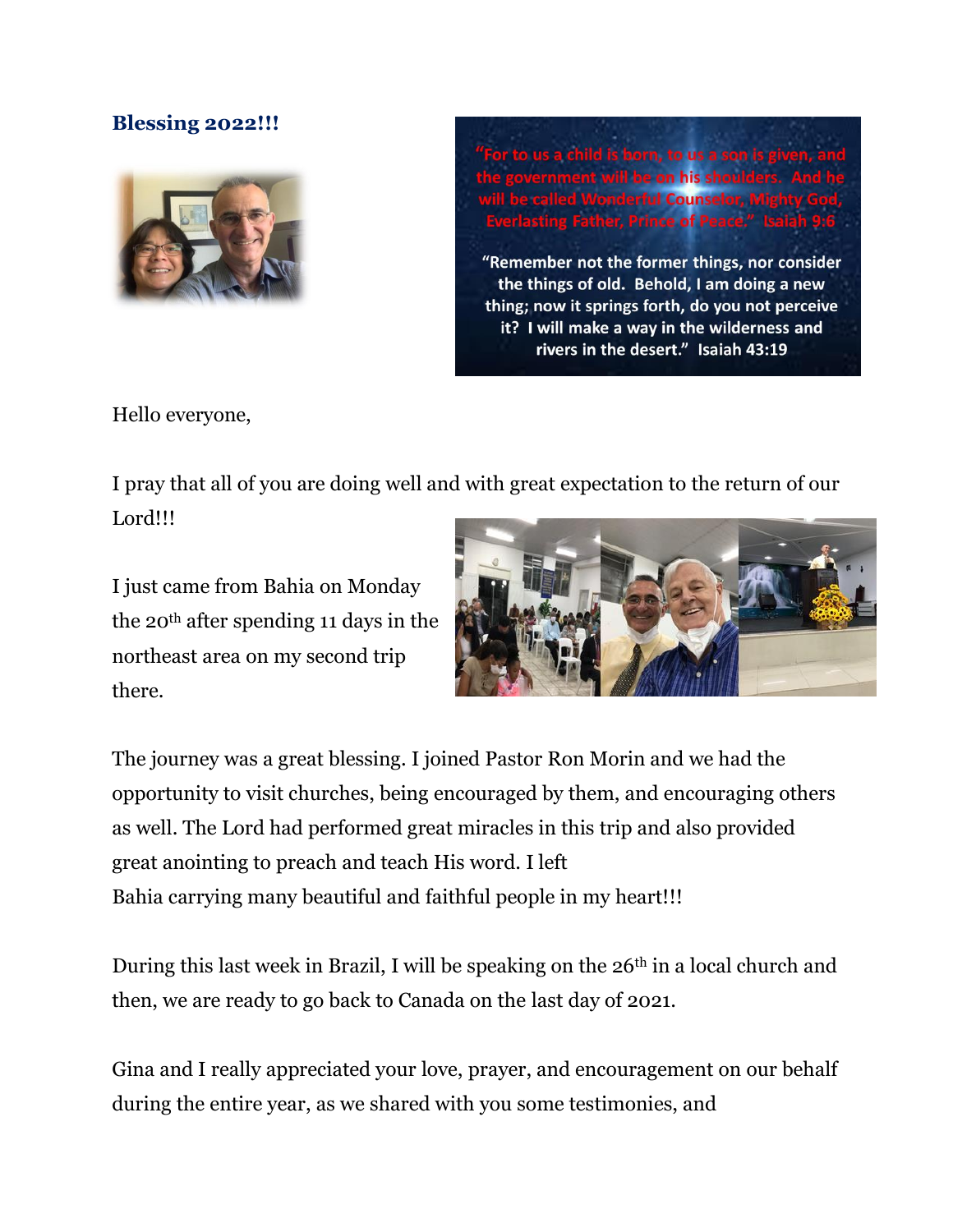## **Blessing 2022!!!**



"Remember not the former things, nor consider the things of old. Behold, I am doing a new thing; now it springs forth, do you not perceive it? I will make a way in the wilderness and rivers in the desert." Isaiah 43:19

Hello everyone,

I pray that all of you are doing well and with great expectation to the return of our Lord!!!

I just came from Bahia on Monday the 20th after spending 11 days in the northeast area on my second trip there.



The journey was a great blessing. I joined Pastor Ron Morin and we had the opportunity to visit churches, being encouraged by them, and encouraging others as well. The Lord had performed great miracles in this trip and also provided great anointing to preach and teach His word. I left Bahia carrying many beautiful and faithful people in my heart!!!

During this last week in Brazil, I will be speaking on the 26<sup>th</sup> in a local church and then, we are ready to go back to Canada on the last day of 2021.

Gina and I really appreciated your love, prayer, and encouragement on our behalf during the entire year, as we shared with you some testimonies, and